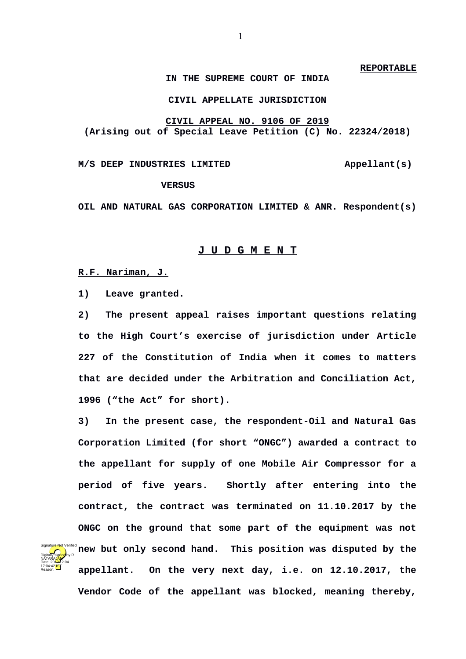#### **REPORTABLE**

# **IN THE SUPREME COURT OF INDIA**

## **CIVIL APPELLATE JURISDICTION**

**CIVIL APPEAL NO. 9106 OF 2019 (Arising out of Special Leave Petition (C) No. 22324/2018)**

## M/S DEEP INDUSTRIES LIMITED **Appellant(s)**

#### **VERSUS**

**OIL AND NATURAL GAS CORPORATION LIMITED & ANR. Respondent(s)**

#### **J U D G M E N T**

**R.F. Nariman, J.**

Digitally signed by R NATARA<mark>JAN</mark> Date: 2010.12.04 17:04:42 IST Reason:

**1) Leave granted.**

**2) The present appeal raises important questions relating to the High Court's exercise of jurisdiction under Article 227 of the Constitution of India when it comes to matters that are decided under the Arbitration and Conciliation Act, 1996 ("the Act" for short).** 

**3) In the present case, the respondent-Oil and Natural Gas Corporation Limited (for short "ONGC") awarded a contract to the appellant for supply of one Mobile Air Compressor for a period of five years. Shortly after entering into the contract, the contract was terminated on 11.10.2017 by the ONGC on the ground that some part of the equipment was not new but only second hand. This position was disputed by the appellant. On the very next day, i.e. on 12.10.2017, the Vendor Code of the appellant was blocked, meaning thereby,** Signature Not Verified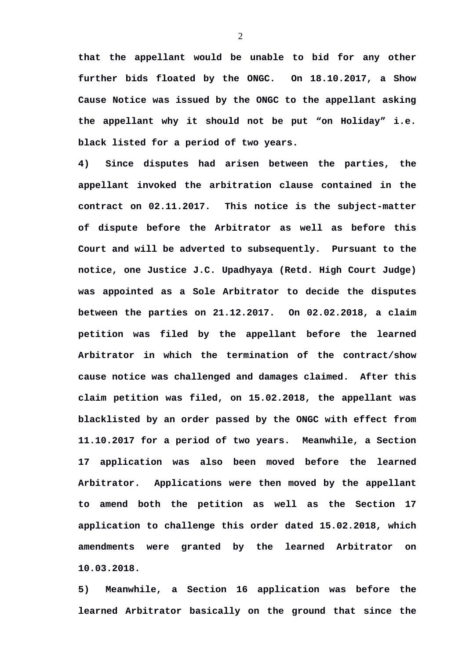**that the appellant would be unable to bid for any other further bids floated by the ONGC. On 18.10.2017, a Show Cause Notice was issued by the ONGC to the appellant asking the appellant why it should not be put "on Holiday" i.e. black listed for a period of two years.** 

**4) Since disputes had arisen between the parties, the appellant invoked the arbitration clause contained in the contract on 02.11.2017. This notice is the subject-matter of dispute before the Arbitrator as well as before this Court and will be adverted to subsequently. Pursuant to the notice, one Justice J.C. Upadhyaya (Retd. High Court Judge) was appointed as a Sole Arbitrator to decide the disputes between the parties on 21.12.2017. On 02.02.2018, a claim petition was filed by the appellant before the learned Arbitrator in which the termination of the contract/show cause notice was challenged and damages claimed. After this claim petition was filed, on 15.02.2018, the appellant was blacklisted by an order passed by the ONGC with effect from 11.10.2017 for a period of two years. Meanwhile, a Section 17 application was also been moved before the learned Arbitrator. Applications were then moved by the appellant to amend both the petition as well as the Section 17 application to challenge this order dated 15.02.2018, which amendments were granted by the learned Arbitrator on 10.03.2018.**

**5) Meanwhile, a Section 16 application was before the learned Arbitrator basically on the ground that since the**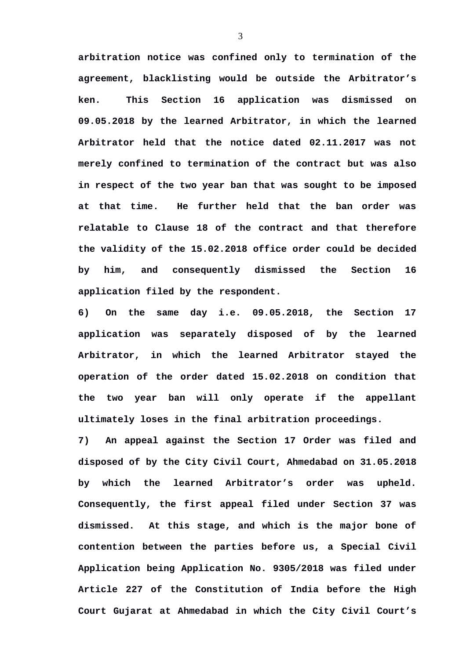**arbitration notice was confined only to termination of the agreement, blacklisting would be outside the Arbitrator's ken. This Section 16 application was dismissed on 09.05.2018 by the learned Arbitrator, in which the learned Arbitrator held that the notice dated 02.11.2017 was not merely confined to termination of the contract but was also in respect of the two year ban that was sought to be imposed at that time. He further held that the ban order was relatable to Clause 18 of the contract and that therefore the validity of the 15.02.2018 office order could be decided by him, and consequently dismissed the Section 16 application filed by the respondent.**

**6) On the same day i.e. 09.05.2018, the Section 17 application was separately disposed of by the learned Arbitrator, in which the learned Arbitrator stayed the operation of the order dated 15.02.2018 on condition that the two year ban will only operate if the appellant ultimately loses in the final arbitration proceedings.**

**7) An appeal against the Section 17 Order was filed and disposed of by the City Civil Court, Ahmedabad on 31.05.2018 by which the learned Arbitrator's order was upheld. Consequently, the first appeal filed under Section 37 was dismissed. At this stage, and which is the major bone of contention between the parties before us, a Special Civil Application being Application No. 9305/2018 was filed under Article 227 of the Constitution of India before the High Court Gujarat at Ahmedabad in which the City Civil Court's**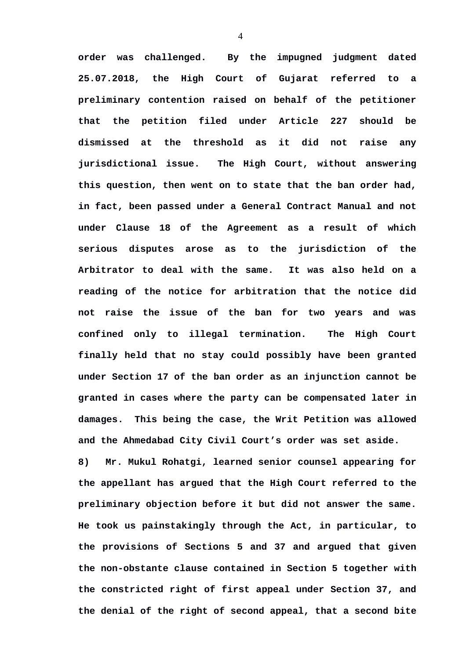**order was challenged. By the impugned judgment dated 25.07.2018, the High Court of Gujarat referred to a preliminary contention raised on behalf of the petitioner that the petition filed under Article 227 should be dismissed at the threshold as it did not raise any jurisdictional issue. The High Court, without answering this question, then went on to state that the ban order had, in fact, been passed under a General Contract Manual and not under Clause 18 of the Agreement as a result of which serious disputes arose as to the jurisdiction of the Arbitrator to deal with the same. It was also held on a reading of the notice for arbitration that the notice did not raise the issue of the ban for two years and was confined only to illegal termination. The High Court finally held that no stay could possibly have been granted under Section 17 of the ban order as an injunction cannot be granted in cases where the party can be compensated later in damages. This being the case, the Writ Petition was allowed and the Ahmedabad City Civil Court's order was set aside.**

**8) Mr. Mukul Rohatgi, learned senior counsel appearing for the appellant has argued that the High Court referred to the preliminary objection before it but did not answer the same. He took us painstakingly through the Act, in particular, to the provisions of Sections 5 and 37 and argued that given the non-obstante clause contained in Section 5 together with the constricted right of first appeal under Section 37, and the denial of the right of second appeal, that a second bite**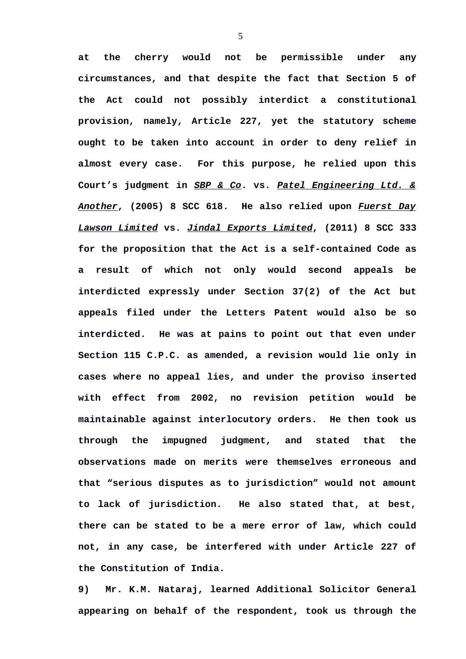**at the cherry would not be permissible under any circumstances, and that despite the fact that Section 5 of the Act could not possibly interdict a constitutional provision, namely, Article 227, yet the statutory scheme ought to be taken into account in order to deny relief in almost every case. For this purpose, he relied upon this Court's judgment in** *SBP & Co***. vs.** *Patel Engineering Ltd. & Another***, (2005) 8 SCC 618. He also relied upon** *Fuerst Day Lawson Limited* **vs.** *Jindal Exports Limited***, (2011) 8 SCC 333 for the proposition that the Act is a self-contained Code as a result of which not only would second appeals be interdicted expressly under Section 37(2) of the Act but appeals filed under the Letters Patent would also be so interdicted. He was at pains to point out that even under Section 115 C.P.C. as amended, a revision would lie only in cases where no appeal lies, and under the proviso inserted with effect from 2002, no revision petition would be maintainable against interlocutory orders. He then took us through the impugned judgment, and stated that the observations made on merits were themselves erroneous and that "serious disputes as to jurisdiction" would not amount to lack of jurisdiction. He also stated that, at best, there can be stated to be a mere error of law, which could not, in any case, be interfered with under Article 227 of the Constitution of India.**

**9) Mr. K.M. Nataraj, learned Additional Solicitor General appearing on behalf of the respondent, took us through the**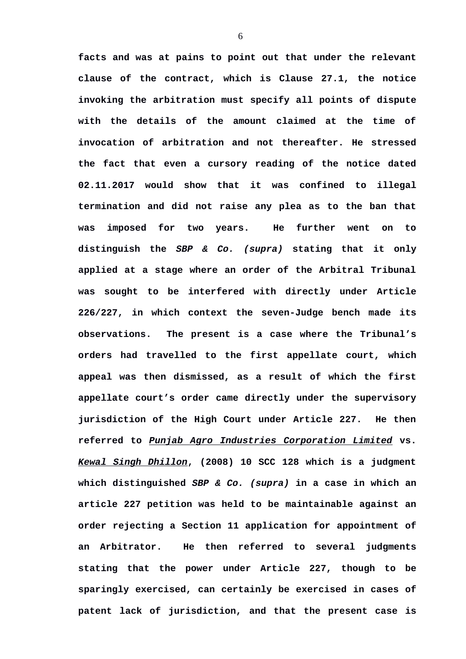**facts and was at pains to point out that under the relevant clause of the contract, which is Clause 27.1, the notice invoking the arbitration must specify all points of dispute with the details of the amount claimed at the time of invocation of arbitration and not thereafter. He stressed the fact that even a cursory reading of the notice dated 02.11.2017 would show that it was confined to illegal termination and did not raise any plea as to the ban that was imposed for two years. He further went on to distinguish the** *SBP & Co. (supra)* **stating that it only applied at a stage where an order of the Arbitral Tribunal was sought to be interfered with directly under Article 226/227, in which context the seven-Judge bench made its observations. The present is a case where the Tribunal's orders had travelled to the first appellate court, which appeal was then dismissed, as a result of which the first appellate court's order came directly under the supervisory jurisdiction of the High Court under Article 227. He then referred to** *Punjab Agro Industries Corporation Limited* **vs.** *Kewal Singh Dhillon***, (2008) 10 SCC 128 which is a judgment which distinguished** *SBP & Co. (supra)* **in a case in which an article 227 petition was held to be maintainable against an order rejecting a Section 11 application for appointment of an Arbitrator. He then referred to several judgments stating that the power under Article 227, though to be sparingly exercised, can certainly be exercised in cases of patent lack of jurisdiction, and that the present case is**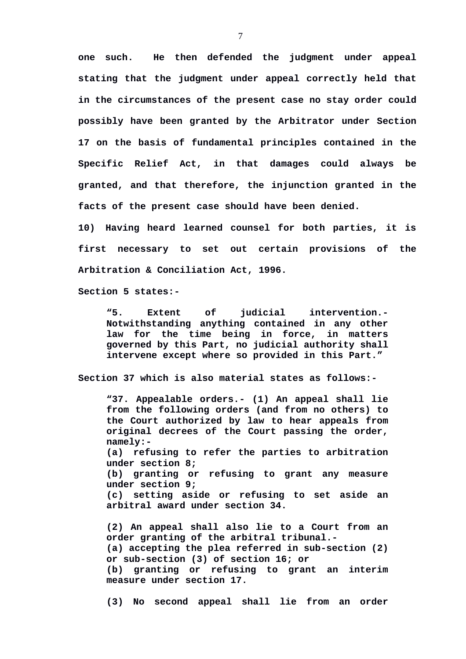**one such. He then defended the judgment under appeal stating that the judgment under appeal correctly held that in the circumstances of the present case no stay order could possibly have been granted by the Arbitrator under Section 17 on the basis of fundamental principles contained in the Specific Relief Act, in that damages could always be granted, and that therefore, the injunction granted in the facts of the present case should have been denied.**

**10) Having heard learned counsel for both parties, it is first necessary to set out certain provisions of the Arbitration & Conciliation Act, 1996.** 

**Section 5 states:-**

**"5. Extent of judicial intervention.- Notwithstanding anything contained in any other law for the time being in force, in matters governed by this Part, no judicial authority shall intervene except where so provided in this Part."**

**Section 37 which is also material states as follows:-**

**"37. Appealable orders.- (1) An appeal shall lie from the following orders (and from no others) to the Court authorized by law to hear appeals from original decrees of the Court passing the order, namely:- (a) refusing to refer the parties to arbitration under section 8; (b) granting or refusing to grant any measure under section 9; (c) setting aside or refusing to set aside an arbitral award under section 34. (2) An appeal shall also lie to a Court from an**

**order granting of the arbitral tribunal.- (a) accepting the plea referred in sub-section (2) or sub-section (3) of section 16; or (b) granting or refusing to grant an interim measure under section 17.**

**(3) No second appeal shall lie from an order**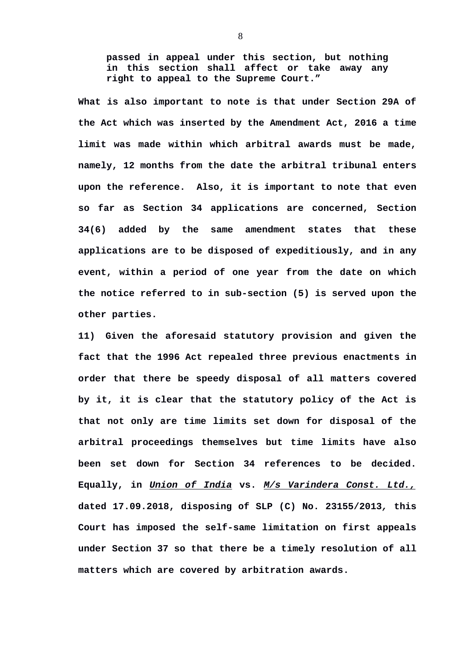**passed in appeal under this section, but nothing in this section shall affect or take away any right to appeal to the Supreme Court."**

**What is also important to note is that under Section 29A of the Act which was inserted by the Amendment Act, 2016 a time limit was made within which arbitral awards must be made, namely, 12 months from the date the arbitral tribunal enters upon the reference. Also, it is important to note that even so far as Section 34 applications are concerned, Section 34(6) added by the same amendment states that these applications are to be disposed of expeditiously, and in any event, within a period of one year from the date on which the notice referred to in sub-section (5) is served upon the other parties.** 

**11) Given the aforesaid statutory provision and given the fact that the 1996 Act repealed three previous enactments in order that there be speedy disposal of all matters covered by it, it is clear that the statutory policy of the Act is that not only are time limits set down for disposal of the arbitral proceedings themselves but time limits have also been set down for Section 34 references to be decided. Equally, in** *Union of India* **vs.** *M/s Varindera Const. Ltd.,* **dated 17.09.2018, disposing of SLP (C) No. 23155/2013***,* **this Court has imposed the self-same limitation on first appeals under Section 37 so that there be a timely resolution of all matters which are covered by arbitration awards.**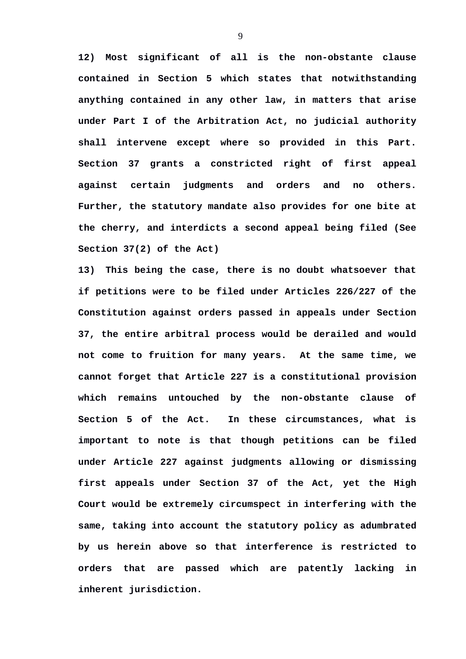**12) Most significant of all is the non-obstante clause contained in Section 5 which states that notwithstanding anything contained in any other law, in matters that arise under Part I of the Arbitration Act, no judicial authority shall intervene except where so provided in this Part. Section 37 grants a constricted right of first appeal against certain judgments and orders and no others. Further, the statutory mandate also provides for one bite at the cherry, and interdicts a second appeal being filed (See Section 37(2) of the Act)**

**13) This being the case, there is no doubt whatsoever that if petitions were to be filed under Articles 226/227 of the Constitution against orders passed in appeals under Section 37, the entire arbitral process would be derailed and would not come to fruition for many years. At the same time, we cannot forget that Article 227 is a constitutional provision which remains untouched by the non-obstante clause of Section 5 of the Act. In these circumstances, what is important to note is that though petitions can be filed under Article 227 against judgments allowing or dismissing first appeals under Section 37 of the Act, yet the High Court would be extremely circumspect in interfering with the same, taking into account the statutory policy as adumbrated by us herein above so that interference is restricted to orders that are passed which are patently lacking in inherent jurisdiction.**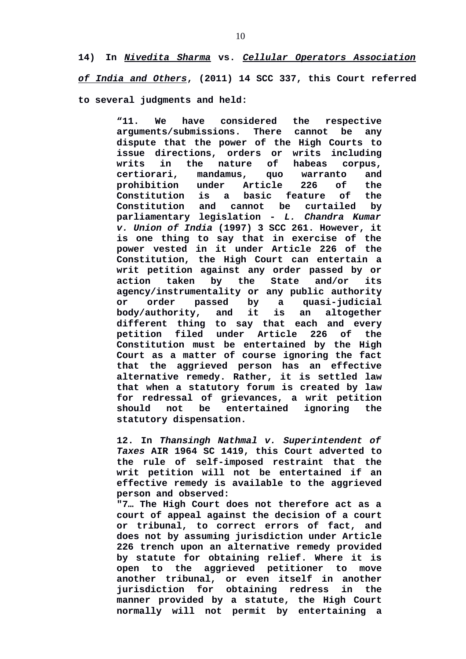**14) In** *Nivedita Sharma* **vs.** *Cellular Operators Association of India and Others***, (2011) 14 SCC 337, this Court referred to several judgments and held:**

> **"11. We have considered the respective arguments/submissions. There cannot be any dispute that the power of the High Courts to issue directions, orders or writs including writs in the nature of habeas corpus, certiorari, mandamus, quo warranto and prohibition under Article 226 of the Constitution is a basic feature of the Constitution and cannot be curtailed by parliamentary legislation -** *L. Chandra Kumar v. Union of India* **(1997) 3 SCC 261. However, it is one thing to say that in exercise of the power vested in it under Article 226 of the Constitution, the High Court can entertain a writ petition against any order passed by or action taken by the State and/or its agency/instrumentality or any public authority or order passed by a quasi-judicial body/authority, and it is an altogether different thing to say that each and every petition filed under Article 226 of the Constitution must be entertained by the High Court as a matter of course ignoring the fact that the aggrieved person has an effective alternative remedy. Rather, it is settled law that when a statutory forum is created by law for redressal of grievances, a writ petition should not be entertained ignoring the statutory dispensation.**

> **12. In** *Thansingh Nathmal v. Superintendent of Taxes* **AIR 1964 SC 1419, this Court adverted to the rule of self-imposed restraint that the writ petition will not be entertained if an effective remedy is available to the aggrieved person and observed:**

> **"7… The High Court does not therefore act as a court of appeal against the decision of a court or tribunal, to correct errors of fact, and does not by assuming jurisdiction under Article 226 trench upon an alternative remedy provided by statute for obtaining relief. Where it is open to the aggrieved petitioner to move another tribunal, or even itself in another jurisdiction for obtaining redress in the manner provided by a statute, the High Court normally will not permit by entertaining a**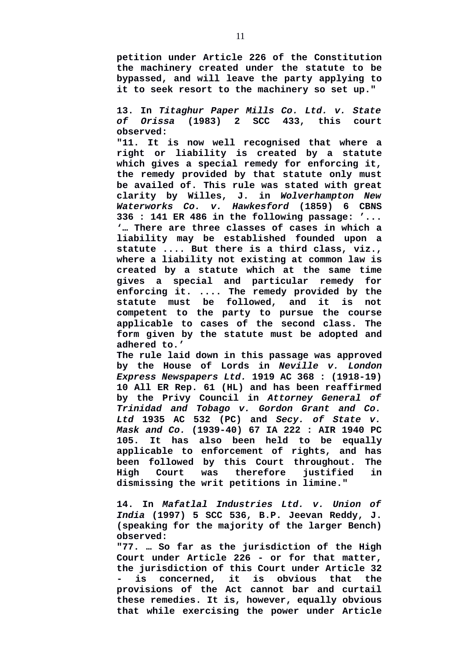**petition under Article 226 of the Constitution the machinery created under the statute to be bypassed, and will leave the party applying to it to seek resort to the machinery so set up."**

**13. In** *Titaghur Paper Mills Co. Ltd. v. State of Orissa* **(1983) 2 SCC 433, this court observed:**

**"11. It is now well recognised that where a right or liability is created by a statute which gives a special remedy for enforcing it, the remedy provided by that statute only must be availed of. This rule was stated with great clarity by Willes, J. in** *Wolverhampton New Waterworks Co. v. Hawkesford* **(1859) 6 CBNS 336 : 141 ER 486 in the following passage: '... '… There are three classes of cases in which a liability may be established founded upon a statute .... But there is a third class, viz., where a liability not existing at common law is created by a statute which at the same time gives a special and particular remedy for enforcing it. .... The remedy provided by the statute must be followed, and it is not competent to the party to pursue the course applicable to cases of the second class. The form given by the statute must be adopted and adhered to.'**

**The rule laid down in this passage was approved by the House of Lords in** *Neville v. London Express Newspapers Ltd.* **1919 AC 368 : (1918-19) 10 All ER Rep. 61 (HL) and has been reaffirmed by the Privy Council in** *Attorney General of Trinidad and Tobago v. Gordon Grant and Co. Ltd* **1935 AC 532 (PC) and** *Secy. of State v. Mask and Co.* **(1939-40) 67 IA 222 : AIR 1940 PC 105. It has also been held to be equally applicable to enforcement of rights, and has been followed by this Court throughout. The High Court was therefore justified in dismissing the writ petitions in limine."**

**14. In** *Mafatlal Industries Ltd. v. Union of India* **(1997) 5 SCC 536, B.P. Jeevan Reddy, J. (speaking for the majority of the larger Bench) observed:**

**"77. … So far as the jurisdiction of the High Court under Article 226 - or for that matter, the jurisdiction of this Court under Article 32 - is concerned, it is obvious that the provisions of the Act cannot bar and curtail these remedies. It is, however, equally obvious that while exercising the power under Article**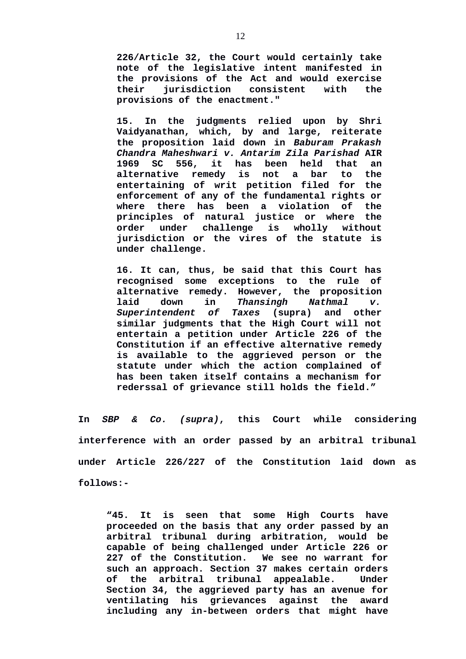**226/Article 32, the Court would certainly take note of the legislative intent manifested in the provisions of the Act and would exercise their jurisdiction consistent with the provisions of the enactment."**

**15. In the judgments relied upon by Shri Vaidyanathan, which, by and large, reiterate the proposition laid down in** *Baburam Prakash Chandra Maheshwari v. Antarim Zila Parishad* **AIR 1969 SC 556, it has been held that an alternative remedy is not a bar to the entertaining of writ petition filed for the enforcement of any of the fundamental rights or where there has been a violation of the principles of natural justice or where the order under challenge is wholly without jurisdiction or the vires of the statute is under challenge.**

**16. It can, thus, be said that this Court has recognised some exceptions to the rule of alternative remedy. However, the proposition laid down in** *Thansingh Nathmal v. Superintendent of Taxes* **(supra) and other similar judgments that the High Court will not entertain a petition under Article 226 of the Constitution if an effective alternative remedy is available to the aggrieved person or the statute under which the action complained of has been taken itself contains a mechanism for rederssal of grievance still holds the field."**

**In** *SBP & Co. (supra)***, this Court while considering interference with an order passed by an arbitral tribunal under Article 226/227 of the Constitution laid down as follows:-** 

**"45. It is seen that some High Courts have proceeded on the basis that any order passed by an arbitral tribunal during arbitration, would be capable of being challenged under Article 226 or 227 of the Constitution. We see no warrant for such an approach. Section 37 makes certain orders of the arbitral tribunal appealable. Under Section 34, the aggrieved party has an avenue for ventilating his grievances against the award including any in-between orders that might have**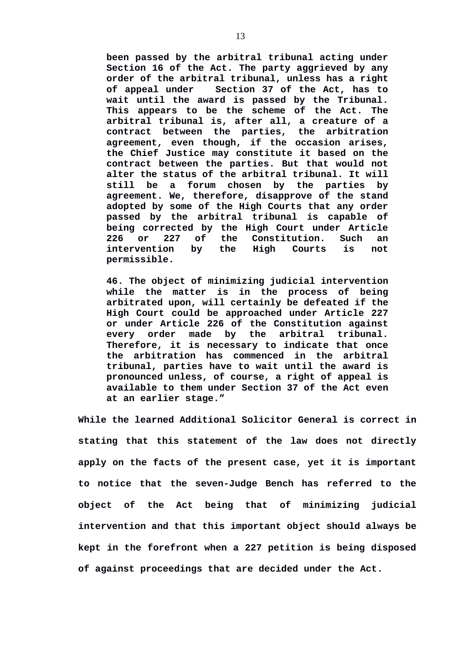**been passed by the arbitral tribunal acting under Section 16 of the Act. The party aggrieved by any order of the arbitral tribunal, unless has a right of appeal under Section 37 of the Act, has to wait until the award is passed by the Tribunal. This appears to be the scheme of the Act. The arbitral tribunal is, after all, a creature of a contract between the parties, the arbitration agreement, even though, if the occasion arises, the Chief Justice may constitute it based on the contract between the parties. But that would not alter the status of the arbitral tribunal. It will still be a forum chosen by the parties by agreement. We, therefore, disapprove of the stand adopted by some of the High Courts that any order passed by the arbitral tribunal is capable of being corrected by the High Court under Article 226 or 227 of the Constitution. Such an intervention by the High Courts is not permissible.** 

**46. The object of minimizing judicial intervention while the matter is in the process of being arbitrated upon, will certainly be defeated if the High Court could be approached under Article 227 or under Article 226 of the Constitution against every order made by the arbitral tribunal. Therefore, it is necessary to indicate that once the arbitration has commenced in the arbitral tribunal, parties have to wait until the award is pronounced unless, of course, a right of appeal is available to them under Section 37 of the Act even at an earlier stage."** 

**While the learned Additional Solicitor General is correct in stating that this statement of the law does not directly apply on the facts of the present case, yet it is important to notice that the seven-Judge Bench has referred to the object of the Act being that of minimizing judicial intervention and that this important object should always be kept in the forefront when a 227 petition is being disposed of against proceedings that are decided under the Act.**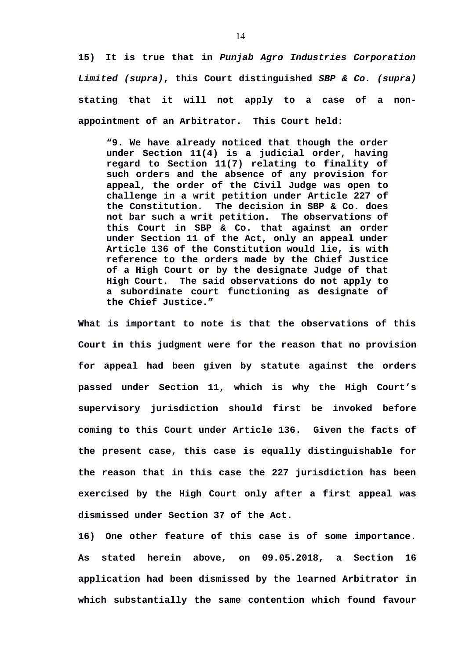**15) It is true that in** *Punjab Agro Industries Corporation Limited (supra)***, this Court distinguished** *SBP & Co. (supra)* **stating that it will not apply to a case of a nonappointment of an Arbitrator. This Court held:**

**"9. We have already noticed that though the order under Section 11(4) is a judicial order, having regard to Section 11(7) relating to finality of such orders and the absence of any provision for appeal, the order of the Civil Judge was open to challenge in a writ petition under Article 227 of the Constitution. The decision in SBP & Co. does not bar such a writ petition. The observations of this Court in SBP & Co. that against an order under Section 11 of the Act, only an appeal under Article 136 of the Constitution would lie, is with reference to the orders made by the Chief Justice of a High Court or by the designate Judge of that High Court. The said observations do not apply to a subordinate court functioning as designate of the Chief Justice."** 

**What is important to note is that the observations of this Court in this judgment were for the reason that no provision for appeal had been given by statute against the orders passed under Section 11, which is why the High Court's supervisory jurisdiction should first be invoked before coming to this Court under Article 136. Given the facts of the present case, this case is equally distinguishable for the reason that in this case the 227 jurisdiction has been exercised by the High Court only after a first appeal was dismissed under Section 37 of the Act.**

**16) One other feature of this case is of some importance. As stated herein above, on 09.05.2018, a Section 16 application had been dismissed by the learned Arbitrator in which substantially the same contention which found favour**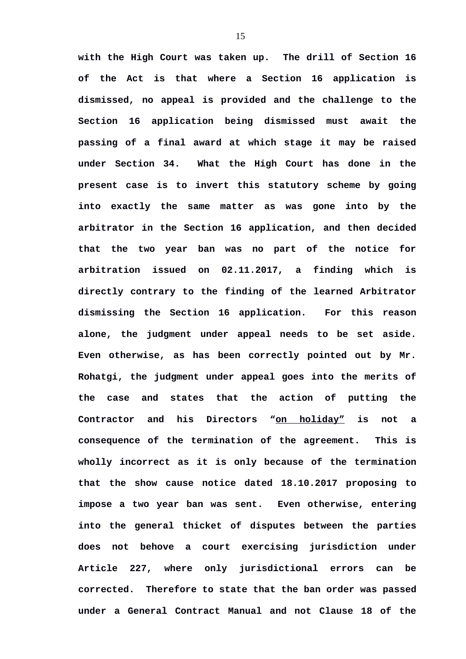**with the High Court was taken up. The drill of Section 16 of the Act is that where a Section 16 application is dismissed, no appeal is provided and the challenge to the Section 16 application being dismissed must await the passing of a final award at which stage it may be raised under Section 34. What the High Court has done in the present case is to invert this statutory scheme by going into exactly the same matter as was gone into by the arbitrator in the Section 16 application, and then decided that the two year ban was no part of the notice for arbitration issued on 02.11.2017, a finding which is directly contrary to the finding of the learned Arbitrator dismissing the Section 16 application. For this reason alone, the judgment under appeal needs to be set aside. Even otherwise, as has been correctly pointed out by Mr. Rohatgi, the judgment under appeal goes into the merits of the case and states that the action of putting the Contractor and his Directors "on holiday" is not a consequence of the termination of the agreement. This is wholly incorrect as it is only because of the termination that the show cause notice dated 18.10.2017 proposing to impose a two year ban was sent. Even otherwise, entering into the general thicket of disputes between the parties does not behove a court exercising jurisdiction under Article 227, where only jurisdictional errors can be corrected. Therefore to state that the ban order was passed under a General Contract Manual and not Clause 18 of the**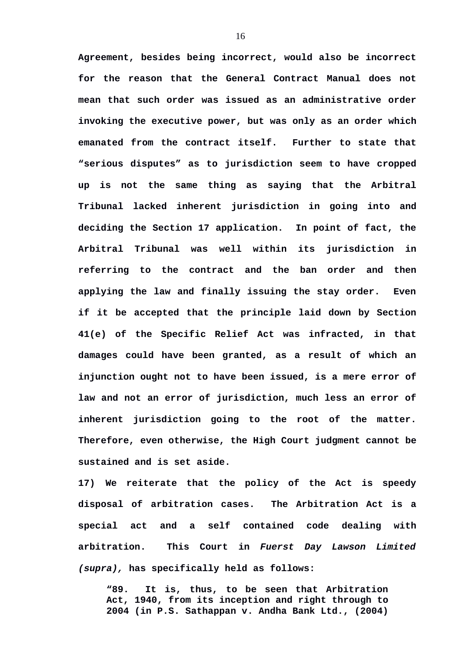**Agreement, besides being incorrect, would also be incorrect for the reason that the General Contract Manual does not mean that such order was issued as an administrative order invoking the executive power, but was only as an order which emanated from the contract itself. Further to state that "serious disputes" as to jurisdiction seem to have cropped up is not the same thing as saying that the Arbitral Tribunal lacked inherent jurisdiction in going into and deciding the Section 17 application. In point of fact, the Arbitral Tribunal was well within its jurisdiction in referring to the contract and the ban order and then applying the law and finally issuing the stay order. Even if it be accepted that the principle laid down by Section 41(e) of the Specific Relief Act was infracted, in that damages could have been granted, as a result of which an injunction ought not to have been issued, is a mere error of law and not an error of jurisdiction, much less an error of inherent jurisdiction going to the root of the matter. Therefore, even otherwise, the High Court judgment cannot be sustained and is set aside.**

**17) We reiterate that the policy of the Act is speedy disposal of arbitration cases. The Arbitration Act is a special act and a self contained code dealing with arbitration. This Court in** *Fuerst Day Lawson Limited (supra),* **has specifically held as follows:**

**"89. It is, thus, to be seen that Arbitration Act, 1940, from its inception and right through to 2004 (in P.S. Sathappan v. Andha Bank Ltd., (2004)**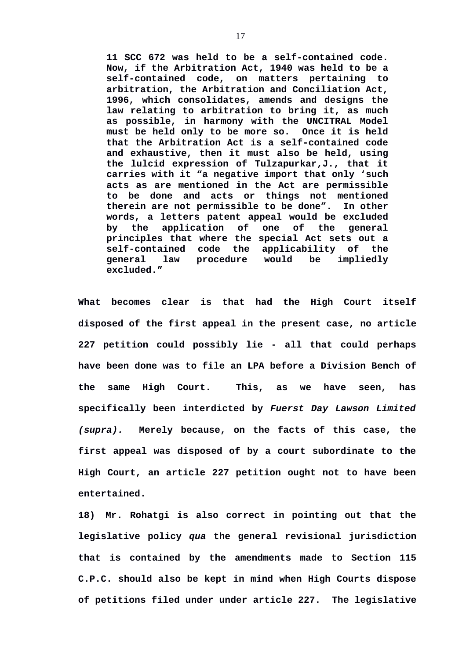**11 SCC 672 was held to be a self-contained code. Now, if the Arbitration Act, 1940 was held to be a self-contained code, on matters pertaining to arbitration, the Arbitration and Conciliation Act, 1996, which consolidates, amends and designs the law relating to arbitration to bring it, as much as possible, in harmony with the UNCITRAL Model must be held only to be more so. Once it is held that the Arbitration Act is a self-contained code and exhaustive, then it must also be held, using the lulcid expression of Tulzapurkar,J., that it carries with it "a negative import that only 'such acts as are mentioned in the Act are permissible to be done and acts or things not mentioned therein are not permissible to be done". In other words, a letters patent appeal would be excluded by the application of one of the general principles that where the special Act sets out a self-contained code the applicability of the general law procedure would be impliedly excluded."** 

**What becomes clear is that had the High Court itself disposed of the first appeal in the present case, no article 227 petition could possibly lie - all that could perhaps have been done was to file an LPA before a Division Bench of the same High Court. This, as we have seen, has specifically been interdicted by** *Fuerst Day Lawson Limited (supra).* **Merely because, on the facts of this case, the first appeal was disposed of by a court subordinate to the High Court, an article 227 petition ought not to have been entertained.** 

**18) Mr. Rohatgi is also correct in pointing out that the legislative policy** *qua* **the general revisional jurisdiction that is contained by the amendments made to Section 115 C.P.C. should also be kept in mind when High Courts dispose of petitions filed under under article 227. The legislative**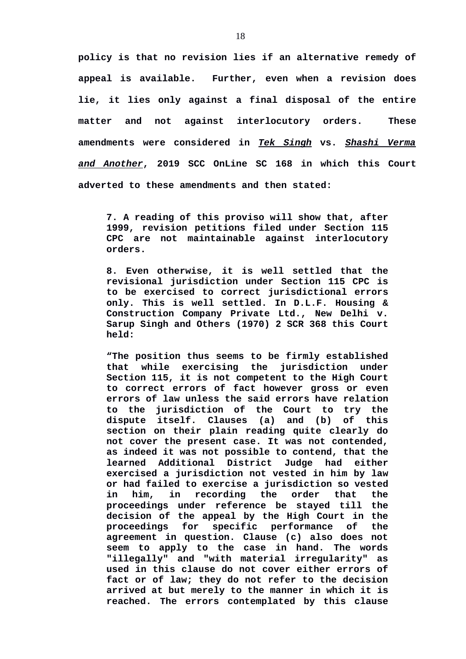**policy is that no revision lies if an alternative remedy of appeal is available. Further, even when a revision does lie, it lies only against a final disposal of the entire matter and not against interlocutory orders. These amendments were considered in** *Tek Singh* **vs.** *Shashi Verma and Another***, 2019 SCC OnLine SC 168 in which this Court adverted to these amendments and then stated:**

**7. A reading of this proviso will show that, after 1999, revision petitions filed under Section 115 CPC are not maintainable against interlocutory orders.** 

**8. Even otherwise, it is well settled that the revisional jurisdiction under Section 115 CPC is to be exercised to correct jurisdictional errors only. This is well settled. In D.L.F. Housing & Construction Company Private Ltd., New Delhi v. Sarup Singh and Others (1970) 2 SCR 368 this Court held:** 

**"The position thus seems to be firmly established that while exercising the jurisdiction under Section 115, it is not competent to the High Court to correct errors of fact however gross or even errors of law unless the said errors have relation to the jurisdiction of the Court to try the dispute itself. Clauses (a) and (b) of this section on their plain reading quite clearly do not cover the present case. It was not contended, as indeed it was not possible to contend, that the learned Additional District Judge had either exercised a jurisdiction not vested in him by law or had failed to exercise a jurisdiction so vested in him, in recording the order that the proceedings under reference be stayed till the decision of the appeal by the High Court in the proceedings for specific performance of the agreement in question. Clause (c) also does not seem to apply to the case in hand. The words "illegally" and "with material irregularity" as used in this clause do not cover either errors of fact or of law; they do not refer to the decision arrived at but merely to the manner in which it is reached. The errors contemplated by this clause**